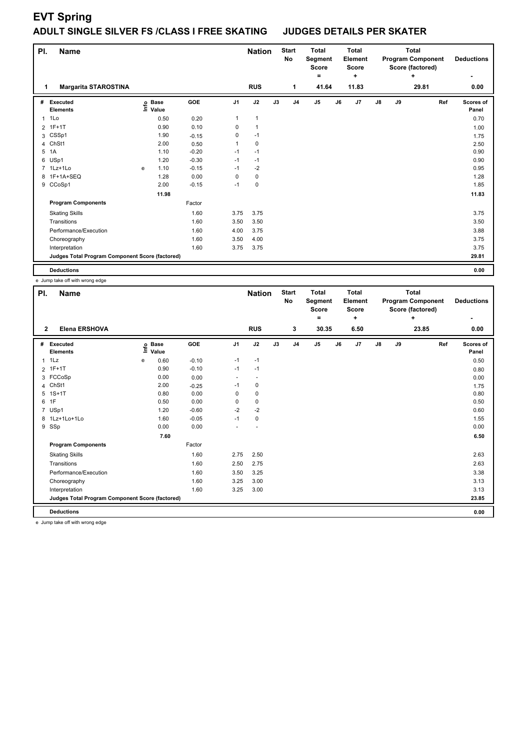# **EVT Spring**

## **ADULT SINGLE SILVER FS /CLASS I FREE SKATING JUDGES DETAILS PER SKATER**

| PI.          | <b>Name</b>                                     |   |                                  |         | <b>Nation</b>  |              | <b>Start</b><br>No | <b>Total</b><br>Segment<br><b>Score</b><br>٠ |                | <b>Total</b><br><b>Element</b><br><b>Score</b><br>٠ |       | <b>Total</b><br><b>Program Component</b><br>Score (factored) |    | <b>Deductions</b> |     |                    |
|--------------|-------------------------------------------------|---|----------------------------------|---------|----------------|--------------|--------------------|----------------------------------------------|----------------|-----------------------------------------------------|-------|--------------------------------------------------------------|----|-------------------|-----|--------------------|
|              | <b>Margarita STAROSTINA</b>                     |   |                                  |         |                | <b>RUS</b>   |                    | 1                                            | 41.64          |                                                     | 11.83 |                                                              |    | ٠<br>29.81        |     | 0.00               |
| #            | Executed<br><b>Elements</b>                     |   | <b>Base</b><br>o Base<br>⊆ Value | GOE     | J <sub>1</sub> | J2           | J3                 | J <sub>4</sub>                               | J <sub>5</sub> | J6                                                  | J7    | $\mathsf{J}8$                                                | J9 |                   | Ref | Scores of<br>Panel |
| $\mathbf{1}$ | 1Lo                                             |   | 0.50                             | 0.20    | 1              | $\mathbf{1}$ |                    |                                              |                |                                                     |       |                                                              |    |                   |     | 0.70               |
|              | 2 1F+1T                                         |   | 0.90                             | 0.10    | 0              | $\mathbf{1}$ |                    |                                              |                |                                                     |       |                                                              |    |                   |     | 1.00               |
|              | 3 CSSp1                                         |   | 1.90                             | $-0.15$ | 0              | $-1$         |                    |                                              |                |                                                     |       |                                                              |    |                   |     | 1.75               |
| 4            | ChSt1                                           |   | 2.00                             | 0.50    | 1              | $\pmb{0}$    |                    |                                              |                |                                                     |       |                                                              |    |                   |     | 2.50               |
| 5            | 1A                                              |   | 1.10                             | $-0.20$ | $-1$           | $-1$         |                    |                                              |                |                                                     |       |                                                              |    |                   |     | 0.90               |
|              | 6 USp1                                          |   | 1.20                             | $-0.30$ | $-1$           | $-1$         |                    |                                              |                |                                                     |       |                                                              |    |                   |     | 0.90               |
|              | 7 1Lz+1Lo                                       | e | 1.10                             | $-0.15$ | $-1$           | $-2$         |                    |                                              |                |                                                     |       |                                                              |    |                   |     | 0.95               |
|              | 8 1F+1A+SEQ                                     |   | 1.28                             | 0.00    | 0              | 0            |                    |                                              |                |                                                     |       |                                                              |    |                   |     | 1.28               |
|              | 9 CCoSp1                                        |   | 2.00                             | $-0.15$ | $-1$           | 0            |                    |                                              |                |                                                     |       |                                                              |    |                   |     | 1.85               |
|              |                                                 |   | 11.98                            |         |                |              |                    |                                              |                |                                                     |       |                                                              |    |                   |     | 11.83              |
|              | <b>Program Components</b>                       |   |                                  | Factor  |                |              |                    |                                              |                |                                                     |       |                                                              |    |                   |     |                    |
|              | <b>Skating Skills</b>                           |   |                                  | 1.60    | 3.75           | 3.75         |                    |                                              |                |                                                     |       |                                                              |    |                   |     | 3.75               |
|              | Transitions                                     |   |                                  | 1.60    | 3.50           | 3.50         |                    |                                              |                |                                                     |       |                                                              |    |                   |     | 3.50               |
|              | Performance/Execution                           |   |                                  | 1.60    | 4.00           | 3.75         |                    |                                              |                |                                                     |       |                                                              |    |                   |     | 3.88               |
|              | Choreography                                    |   |                                  | 1.60    | 3.50           | 4.00         |                    |                                              |                |                                                     |       |                                                              |    |                   |     | 3.75               |
|              | Interpretation                                  |   |                                  | 1.60    | 3.75           | 3.75         |                    |                                              |                |                                                     |       |                                                              |    |                   |     | 3.75               |
|              | Judges Total Program Component Score (factored) |   |                                  |         |                |              |                    |                                              |                |                                                     |       |                                                              |    |                   |     | 29.81              |
|              | <b>Deductions</b>                               |   |                                  |         |                |              |                    |                                              |                |                                                     |       |                                                              |    |                   |     | 0.00               |

e Jump take off with wrong edge

| PI.<br><b>Name</b> |                                                                 |                            |      |         |                | <b>Nation</b> |    | <b>Start</b><br>No | <b>Total</b><br>Segment<br><b>Score</b> |    | <b>Total</b><br>Element<br><b>Score</b> |               | <b>Total</b><br><b>Program Component</b><br>Score (factored) |       |     | <b>Deductions</b>  |
|--------------------|-----------------------------------------------------------------|----------------------------|------|---------|----------------|---------------|----|--------------------|-----------------------------------------|----|-----------------------------------------|---------------|--------------------------------------------------------------|-------|-----|--------------------|
|                    |                                                                 |                            |      |         |                |               |    |                    | $\equiv$                                |    | ÷                                       |               |                                                              | ÷     |     |                    |
| 2                  | <b>Elena ERSHOVA</b>                                            |                            |      |         |                | <b>RUS</b>    |    | 3                  | 30.35                                   |    | 6.50                                    |               |                                                              | 23.85 |     | 0.00               |
| #                  | Executed<br><b>Elements</b>                                     | e Base<br>E Value<br>Value |      | GOE     | J <sub>1</sub> | J2            | J3 | J <sub>4</sub>     | J5                                      | J6 | J7                                      | $\mathsf{J}8$ | J9                                                           |       | Ref | Scores of<br>Panel |
|                    | $1$ 1 Lz                                                        | е                          | 0.60 | $-0.10$ | $-1$           | $-1$          |    |                    |                                         |    |                                         |               |                                                              |       |     | 0.50               |
|                    | 2 1F+1T                                                         |                            | 0.90 | $-0.10$ | $-1$           | $-1$          |    |                    |                                         |    |                                         |               |                                                              |       |     | 0.80               |
|                    | 3 FCCoSp                                                        |                            | 0.00 | 0.00    | ٠              |               |    |                    |                                         |    |                                         |               |                                                              |       |     | 0.00               |
| 4                  | ChSt1                                                           |                            | 2.00 | $-0.25$ | $-1$           | 0             |    |                    |                                         |    |                                         |               |                                                              |       |     | 1.75               |
| 5                  | $1S+1T$                                                         |                            | 0.80 | 0.00    | 0              | $\pmb{0}$     |    |                    |                                         |    |                                         |               |                                                              |       |     | 0.80               |
|                    | 6 1F                                                            |                            | 0.50 | 0.00    | 0              | $\mathbf 0$   |    |                    |                                         |    |                                         |               |                                                              |       |     | 0.50               |
| 7                  | USp1                                                            |                            | 1.20 | $-0.60$ | $-2$           | $-2$          |    |                    |                                         |    |                                         |               |                                                              |       |     | 0.60               |
|                    | 8 1Lz+1Lo+1Lo                                                   |                            | 1.60 | $-0.05$ | $-1$           | $\mathbf 0$   |    |                    |                                         |    |                                         |               |                                                              |       |     | 1.55               |
|                    | 9 SSp                                                           |                            | 0.00 | 0.00    |                |               |    |                    |                                         |    |                                         |               |                                                              |       |     | 0.00               |
|                    |                                                                 |                            | 7.60 |         |                |               |    |                    |                                         |    |                                         |               |                                                              |       |     | 6.50               |
|                    | <b>Program Components</b>                                       |                            |      | Factor  |                |               |    |                    |                                         |    |                                         |               |                                                              |       |     |                    |
|                    | <b>Skating Skills</b>                                           |                            |      | 1.60    | 2.75           | 2.50          |    |                    |                                         |    |                                         |               |                                                              |       |     | 2.63               |
|                    | Transitions                                                     |                            |      | 1.60    | 2.50           | 2.75          |    |                    |                                         |    |                                         |               |                                                              |       |     | 2.63               |
|                    | Performance/Execution                                           |                            |      | 1.60    | 3.50           | 3.25          |    |                    |                                         |    |                                         |               |                                                              |       |     | 3.38               |
|                    | Choreography                                                    |                            |      | 1.60    | 3.25           | 3.00          |    |                    |                                         |    |                                         |               |                                                              |       |     | 3.13               |
|                    | Interpretation                                                  |                            |      | 1.60    | 3.25           | 3.00          |    |                    |                                         |    |                                         |               |                                                              |       |     | 3.13               |
|                    | Judges Total Program Component Score (factored)                 |                            |      |         |                |               |    |                    |                                         |    |                                         |               |                                                              |       |     | 23.85              |
|                    | <b>Deductions</b>                                               |                            |      |         |                |               |    |                    |                                         |    |                                         |               |                                                              |       |     | 0.00               |
|                    | a collection district with containing and seasonal collections. |                            |      |         |                |               |    |                    |                                         |    |                                         |               |                                                              |       |     |                    |

e Jump take off with wrong edge